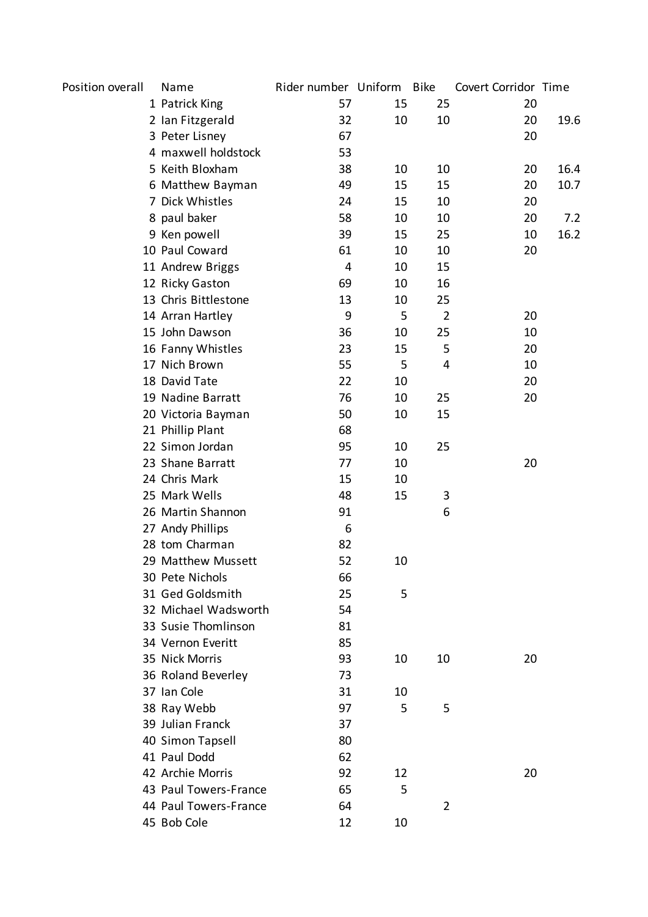| Position overall | Name                  | Rider number Uniform Bike |    |                | Covert Corridor Time |      |
|------------------|-----------------------|---------------------------|----|----------------|----------------------|------|
|                  | 1 Patrick King        | 57                        | 15 | 25             | 20                   |      |
|                  | 2 Ian Fitzgerald      | 32                        | 10 | 10             | 20                   | 19.6 |
|                  | 3 Peter Lisney        | 67                        |    |                | 20                   |      |
|                  | 4 maxwell holdstock   | 53                        |    |                |                      |      |
|                  | 5 Keith Bloxham       | 38                        | 10 | 10             | 20                   | 16.4 |
|                  | 6 Matthew Bayman      | 49                        | 15 | 15             | 20                   | 10.7 |
|                  | 7 Dick Whistles       | 24                        | 15 | 10             | 20                   |      |
|                  | 8 paul baker          | 58                        | 10 | 10             | 20                   | 7.2  |
|                  | 9 Ken powell          | 39                        | 15 | 25             | 10                   | 16.2 |
|                  | 10 Paul Coward        | 61                        | 10 | 10             | 20                   |      |
|                  | 11 Andrew Briggs      | 4                         | 10 | 15             |                      |      |
|                  | 12 Ricky Gaston       | 69                        | 10 | 16             |                      |      |
|                  | 13 Chris Bittlestone  | 13                        | 10 | 25             |                      |      |
|                  | 14 Arran Hartley      | 9                         | 5  | $\overline{2}$ | 20                   |      |
|                  | 15 John Dawson        | 36                        | 10 | 25             | 10                   |      |
|                  | 16 Fanny Whistles     | 23                        | 15 | 5              | 20                   |      |
|                  | 17 Nich Brown         | 55                        | 5  | 4              | 10                   |      |
|                  | 18 David Tate         | 22                        | 10 |                | 20                   |      |
|                  | 19 Nadine Barratt     | 76                        | 10 | 25             | 20                   |      |
|                  | 20 Victoria Bayman    | 50                        | 10 | 15             |                      |      |
|                  | 21 Phillip Plant      | 68                        |    |                |                      |      |
|                  | 22 Simon Jordan       | 95                        | 10 | 25             |                      |      |
|                  | 23 Shane Barratt      | 77                        | 10 |                | 20                   |      |
|                  | 24 Chris Mark         | 15                        | 10 |                |                      |      |
|                  | 25 Mark Wells         | 48                        | 15 | 3              |                      |      |
|                  | 26 Martin Shannon     | 91                        |    | 6              |                      |      |
|                  | 27 Andy Phillips      | 6                         |    |                |                      |      |
|                  | 28 tom Charman        | 82                        |    |                |                      |      |
|                  | 29 Matthew Mussett    | 52                        | 10 |                |                      |      |
|                  | 30 Pete Nichols       | 66                        |    |                |                      |      |
|                  | 31 Ged Goldsmith      | 25                        | 5  |                |                      |      |
|                  | 32 Michael Wadsworth  | 54                        |    |                |                      |      |
|                  | 33 Susie Thomlinson   | 81                        |    |                |                      |      |
|                  | 34 Vernon Everitt     | 85                        |    |                |                      |      |
|                  | 35 Nick Morris        | 93                        | 10 | 10             | 20                   |      |
|                  | 36 Roland Beverley    | 73                        |    |                |                      |      |
|                  | 37 Ian Cole           | 31                        | 10 |                |                      |      |
|                  | 38 Ray Webb           | 97                        | 5  | 5              |                      |      |
|                  | 39 Julian Franck      | 37                        |    |                |                      |      |
|                  | 40 Simon Tapsell      | 80                        |    |                |                      |      |
|                  | 41 Paul Dodd          | 62                        |    |                |                      |      |
|                  | 42 Archie Morris      | 92                        | 12 |                | 20                   |      |
|                  | 43 Paul Towers-France | 65                        | 5  |                |                      |      |
|                  | 44 Paul Towers-France | 64                        |    | $\overline{2}$ |                      |      |
|                  | 45 Bob Cole           | 12                        | 10 |                |                      |      |
|                  |                       |                           |    |                |                      |      |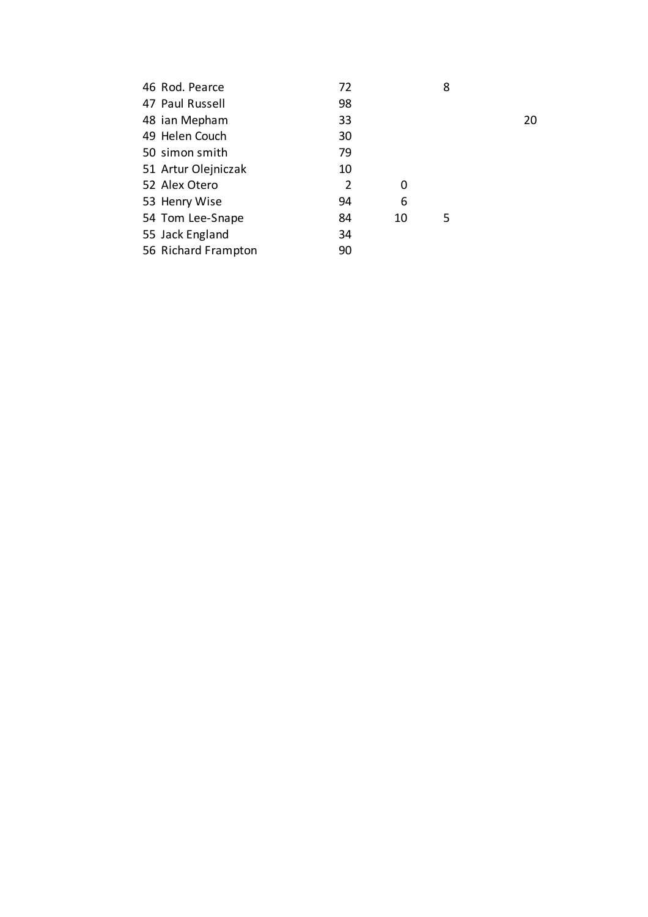| 46 Rod. Pearce      | 72 |    | 8 |    |
|---------------------|----|----|---|----|
| 47 Paul Russell     | 98 |    |   |    |
| 48 ian Mepham       | 33 |    |   | 20 |
| 49 Helen Couch      | 30 |    |   |    |
| 50 simon smith      | 79 |    |   |    |
| 51 Artur Olejniczak | 10 |    |   |    |
| 52 Alex Otero       | 2  | 0  |   |    |
| 53 Henry Wise       | 94 | 6  |   |    |
| 54 Tom Lee-Snape    | 84 | 10 | 5 |    |
| 55 Jack England     | 34 |    |   |    |
| 56 Richard Frampton | 90 |    |   |    |
|                     |    |    |   |    |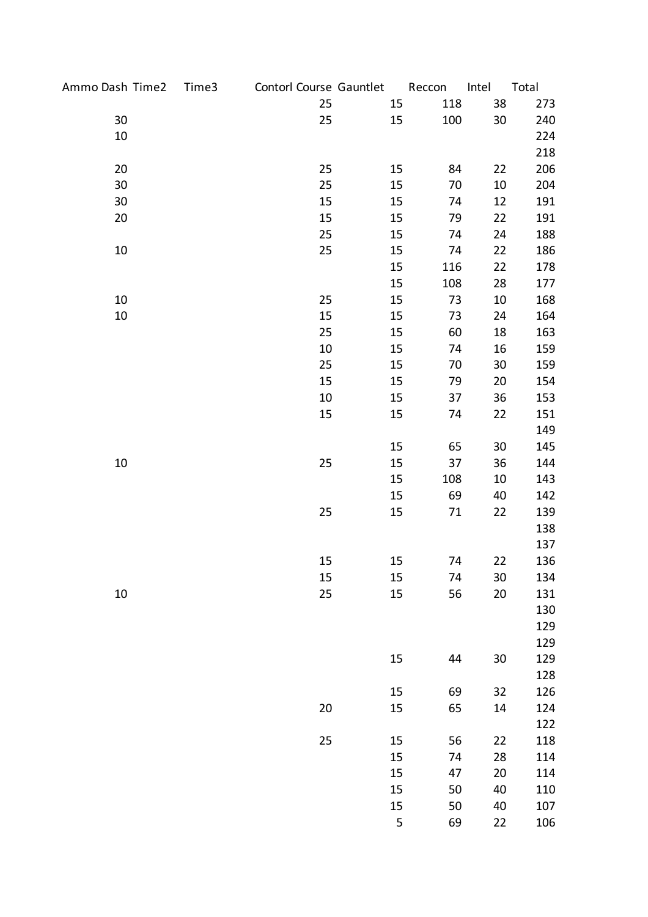| Ammo Dash Time2 | Time3 | Contorl Course Gauntlet |    | Reccon  | Intel  | Total |
|-----------------|-------|-------------------------|----|---------|--------|-------|
|                 |       | 25                      | 15 | 118     | 38     | 273   |
| 30              |       | 25                      | 15 | 100     | 30     | 240   |
| $10\,$          |       |                         |    |         |        | 224   |
|                 |       |                         |    |         |        | 218   |
| 20              |       | 25                      | 15 | 84      | 22     | 206   |
| 30              |       | 25                      | 15 | 70      | $10\,$ | 204   |
| 30              |       | 15                      | 15 | 74      | 12     | 191   |
| 20              |       | 15                      | 15 | 79      | 22     | 191   |
|                 |       | 25                      | 15 | 74      | 24     | 188   |
| $10\,$          |       | 25                      | 15 | 74      | 22     | 186   |
|                 |       |                         | 15 | 116     | 22     | 178   |
|                 |       |                         | 15 | 108     | 28     | 177   |
| $10\,$          |       | 25                      | 15 | 73      | $10\,$ | 168   |
| 10              |       | 15                      | 15 | 73      | 24     | 164   |
|                 |       | 25                      | 15 | 60      | 18     | 163   |
|                 |       | 10                      | 15 | 74      | 16     | 159   |
|                 |       | 25                      | 15 | 70      | 30     | 159   |
|                 |       | 15                      | 15 | 79      | 20     | 154   |
|                 |       | 10                      | 15 | 37      | 36     | 153   |
|                 |       | 15                      | 15 | 74      | 22     | 151   |
|                 |       |                         |    |         |        | 149   |
|                 |       |                         | 15 | 65      | 30     | 145   |
| $10\,$          |       | 25                      | 15 | 37      | 36     | 144   |
|                 |       |                         | 15 | 108     | 10     | 143   |
|                 |       |                         | 15 | 69      | 40     | 142   |
|                 |       | 25                      | 15 | 71      | 22     | 139   |
|                 |       |                         |    |         |        | 138   |
|                 |       |                         |    |         |        | 137   |
|                 |       | 15                      | 15 | 74      | 22     | 136   |
|                 |       | 15                      | 15 | 74      | 30     | 134   |
| $10\,$          |       | 25                      | 15 | 56      | 20     | 131   |
|                 |       |                         |    |         |        | 130   |
|                 |       |                         |    |         |        | 129   |
|                 |       |                         |    |         |        | 129   |
|                 |       |                         | 15 | 44      | 30     | 129   |
|                 |       |                         |    |         |        | 128   |
|                 |       |                         | 15 | 69      | 32     | 126   |
|                 |       | 20                      | 15 | 65      | 14     | 124   |
|                 |       |                         |    |         |        | 122   |
|                 |       | 25                      | 15 | 56      | 22     | 118   |
|                 |       |                         | 15 | 74      | 28     | 114   |
|                 |       |                         | 15 | 47      | 20     | 114   |
|                 |       |                         | 15 | 50      | 40     | 110   |
|                 |       |                         | 15 | 50      | 40     | 107   |
|                 |       |                         |    | 5<br>69 | 22     | 106   |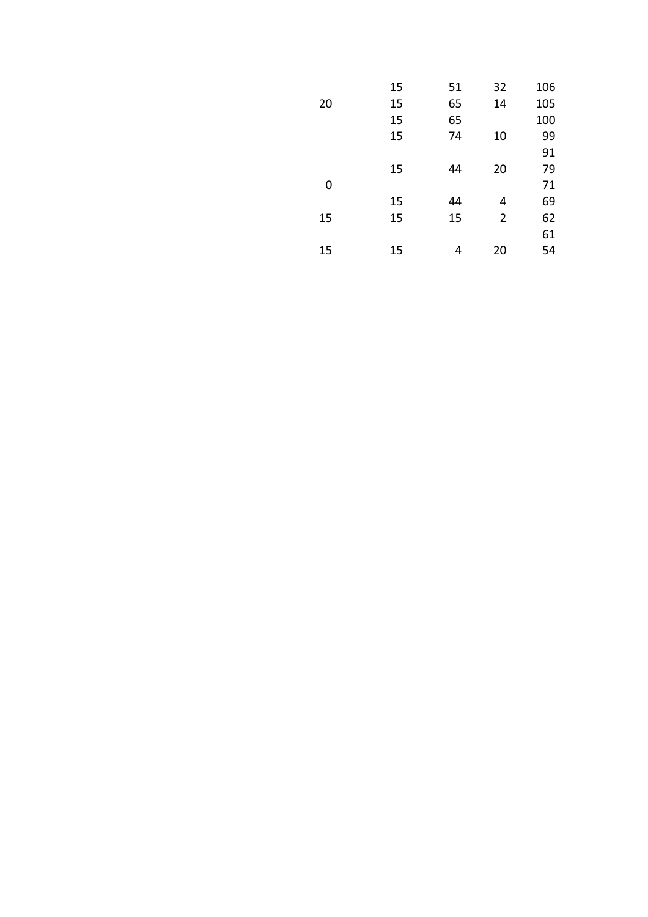|    | 15 | 51 | 32             | 106 |
|----|----|----|----------------|-----|
| 20 | 15 | 65 | 14             | 105 |
|    | 15 | 65 |                | 100 |
|    | 15 | 74 | 10             | 99  |
|    |    |    |                | 91  |
|    | 15 | 44 | 20             | 79  |
| 0  |    |    |                | 71  |
|    | 15 | 44 | 4              | 69  |
| 15 | 15 | 15 | $\overline{2}$ | 62  |
|    |    |    |                | 61  |
| 15 | 15 | 4  | 20             | 54  |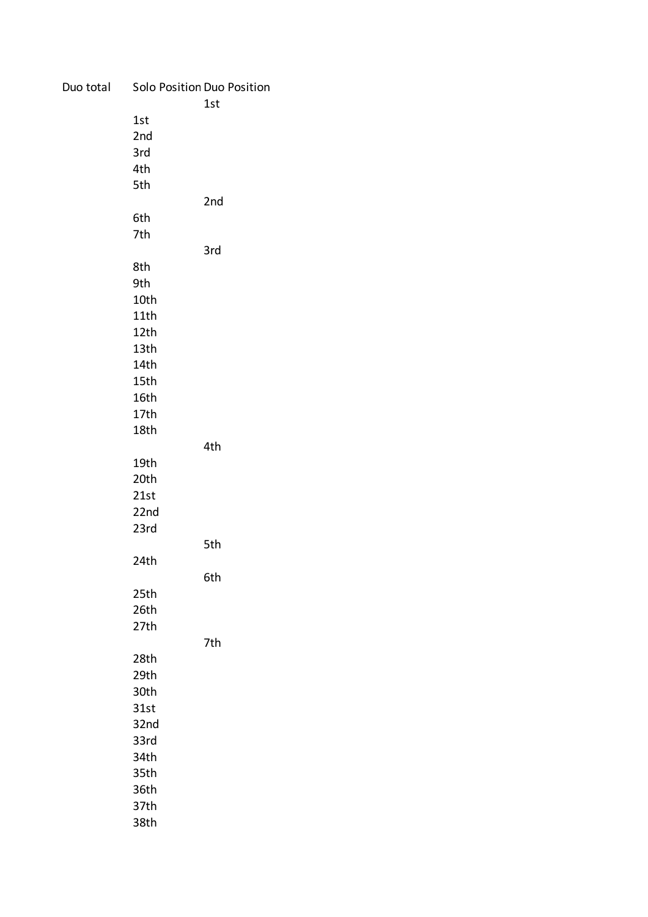| Duo total |                  | Solo Position Duo Position<br>1st |
|-----------|------------------|-----------------------------------|
|           | 1st              |                                   |
|           | 2nd              |                                   |
|           | 3rd              |                                   |
|           | 4th              |                                   |
|           | 5th              |                                   |
|           |                  | 2nd                               |
|           | 6th              |                                   |
|           | 7th              |                                   |
|           |                  | 3rd                               |
|           | 8th              |                                   |
|           | 9th              |                                   |
|           | 10th             |                                   |
|           | 11th             |                                   |
|           | 12th             |                                   |
|           | 13 <sub>th</sub> |                                   |
|           | 14th             |                                   |
|           | 15th             |                                   |
|           | 16th             |                                   |
|           | 17th             |                                   |
|           | 18th             |                                   |
|           |                  | 4th                               |
|           | 19th             |                                   |
|           | 20th             |                                   |
|           | 21st             |                                   |
|           | 22nd             |                                   |
|           | 23rd             |                                   |
|           |                  | 5th                               |
|           | 24th             |                                   |
|           |                  | 6th                               |
|           | 25th             |                                   |
|           | 26th             |                                   |
|           | 27th             |                                   |
|           |                  | 7th                               |
|           | 28th             |                                   |
|           | 29th             |                                   |
|           | 30th             |                                   |
|           | 31st             |                                   |
|           | 32nd             |                                   |
|           | 33rd             |                                   |
|           | 34th             |                                   |
|           | 35th             |                                   |
|           | 36th             |                                   |
|           | 37th             |                                   |
|           | 38th             |                                   |